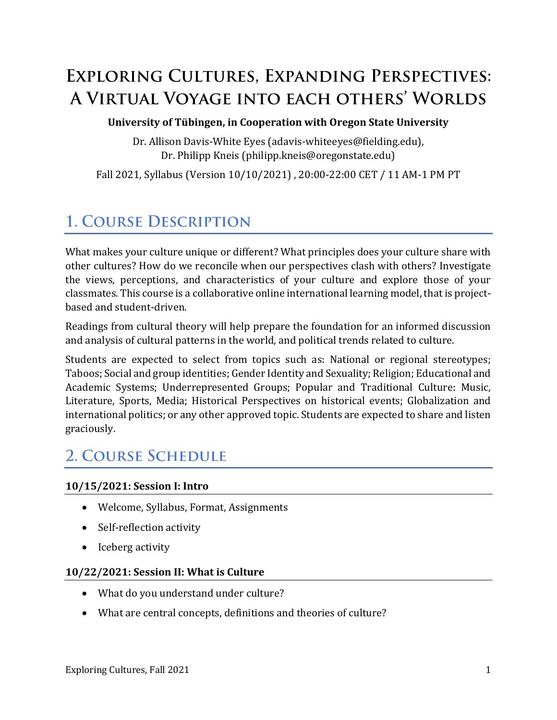# **EXPLORING CULTURES, EXPANDING PERSPECTIVES:** A VIRTUAL VOYAGE INTO EACH OTHERS' WORLDS

#### **University of Tübingen, in Cooperation with Oregon State University**

Dr. Allison Davis-White Eyes (adavis-whiteeyes@fielding.edu), Dr. Philipp Kneis (philipp.kneis@oregonstate.edu)

Fall 2021, Syllabus (Version 10/10/2021) , 20:00-22:00 CET / 11 AM-1 PM PT

# **1. COURSE DESCRIPTION**

What makes your culture unique or different? What principles does your culture share with other cultures? How do we reconcile when our perspectives clash with others? Investigate the views, perceptions, and characteristics of your culture and explore those of your classmates. This course is a collaborative online international learning model, that is projectbased and student-driven.

Readings from cultural theory will help prepare the foundation for an informed discussion and analysis of cultural patterns in the world, and political trends related to culture.

Students are expected to select from topics such as: National or regional stereotypes; Taboos; Social and group identities; Gender Identity and Sexuality; Religion; Educational and Academic Systems; Underrepresented Groups; Popular and Traditional Culture: Music, Literature, Sports, Media; Historical Perspectives on historical events; Globalization and international politics; or any other approved topic. Students are expected to share and listen graciously.

## **2. COURSE SCHEDULE**

#### **10/15/2021: Session I: Intro**

- Welcome, Syllabus, Format, Assignments
- Self-reflection activity
- Iceberg activity

#### **10/22/2021: Session II: What is Culture**

- What do you understand under culture?
- What are central concepts, definitions and theories of culture?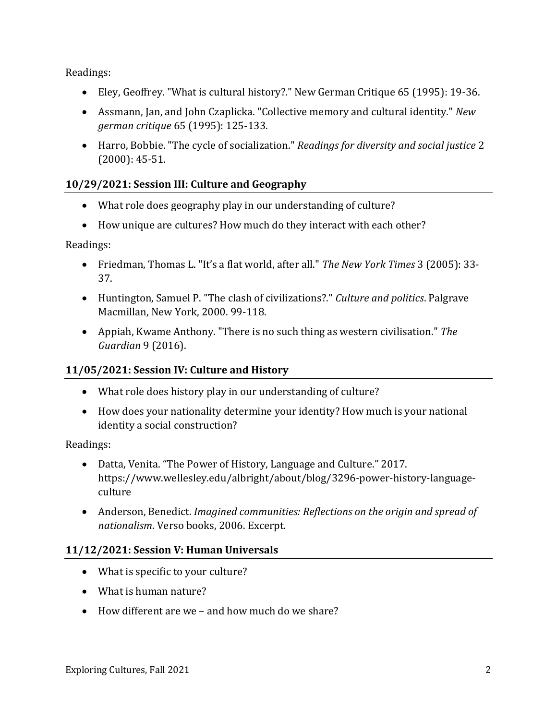Readings:

- Eley, Geoffrey. "What is cultural history?." New German Critique 65 (1995): 19-36.
- Assmann, Jan, and John Czaplicka. "Collective memory and cultural identity." *New german critique* 65 (1995): 125-133.
- Harro, Bobbie. "The cycle of socialization." *Readings for diversity and social justice* 2 (2000): 45-51.

#### **10/29/2021: Session III: Culture and Geography**

- What role does geography play in our understanding of culture?
- How unique are cultures? How much do they interact with each other?

Readings:

- Friedman, Thomas L. "It's a flat world, after all." *The New York Times* 3 (2005): 33- 37.
- Huntington, Samuel P. "The clash of civilizations?." *Culture and politics*. Palgrave Macmillan, New York, 2000. 99-118.
- Appiah, Kwame Anthony. "There is no such thing as western civilisation." *The Guardian* 9 (2016).

#### **11/05/2021: Session IV: Culture and History**

- What role does history play in our understanding of culture?
- How does your nationality determine your identity? How much is your national identity a social construction?

Readings:

- Datta, Venita. "The Power of History, Language and Culture." 2017. https://www.wellesley.edu/albright/about/blog/3296-power-history-languageculture
- Anderson, Benedict. *Imagined communities: Reflections on the origin and spread of nationalism*. Verso books, 2006. Excerpt.

#### **11/12/2021: Session V: Human Universals**

- What is specific to your culture?
- What is human nature?
- How different are we and how much do we share?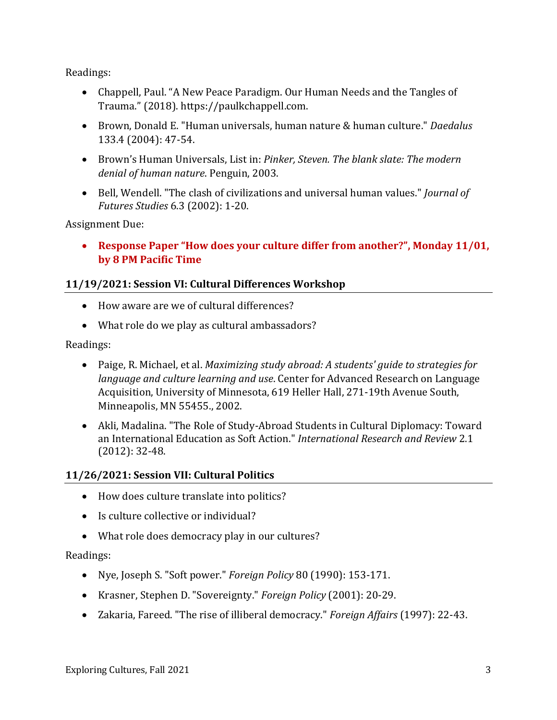Readings:

- Chappell, Paul. "A New Peace Paradigm. Our Human Needs and the Tangles of Trauma." (2018). https://paulkchappell.com.
- Brown, Donald E. "Human universals, human nature & human culture." *Daedalus* 133.4 (2004): 47-54.
- Brown's Human Universals, List in: *Pinker, Steven. The blank slate: The modern denial of human nature*. Penguin, 2003.
- Bell, Wendell. "The clash of civilizations and universal human values." *Journal of Futures Studies* 6.3 (2002): 1-20.

Assignment Due:

• **Response Paper "How does your culture differ from another?", Monday 11/01, by 8 PM Pacific Time**

#### **11/19/2021: Session VI: Cultural Differences Workshop**

- How aware are we of cultural differences?
- What role do we play as cultural ambassadors?

Readings:

- Paige, R. Michael, et al. *Maximizing study abroad: A students' guide to strategies for language and culture learning and use*. Center for Advanced Research on Language Acquisition, University of Minnesota, 619 Heller Hall, 271-19th Avenue South, Minneapolis, MN 55455., 2002.
- Akli, Madalina. "The Role of Study-Abroad Students in Cultural Diplomacy: Toward an International Education as Soft Action." *International Research and Review* 2.1 (2012): 32-48.

#### **11/26/2021: Session VII: Cultural Politics**

- How does culture translate into politics?
- Is culture collective or individual?
- What role does democracy play in our cultures?

#### Readings:

- Nye, Joseph S. "Soft power." *Foreign Policy* 80 (1990): 153-171.
- Krasner, Stephen D. "Sovereignty." *Foreign Policy* (2001): 20-29.
- Zakaria, Fareed. "The rise of illiberal democracy." *Foreign Affairs* (1997): 22-43.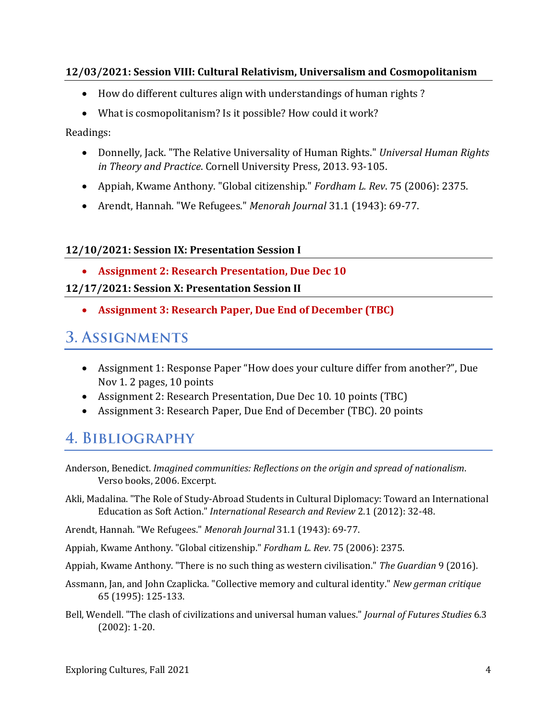#### **12/03/2021: Session VIII: Cultural Relativism, Universalism and Cosmopolitanism**

- How do different cultures align with understandings of human rights ?
- What is cosmopolitanism? Is it possible? How could it work?

Readings:

- Donnelly, Jack. "The Relative Universality of Human Rights." *Universal Human Rights in Theory and Practice*. Cornell University Press, 2013. 93-105.
- Appiah, Kwame Anthony. "Global citizenship." *Fordham L. Rev*. 75 (2006): 2375.
- Arendt, Hannah. "We Refugees." *Menorah Journal* 31.1 (1943): 69-77.

#### **12/10/2021: Session IX: Presentation Session I**

• **Assignment 2: Research Presentation, Due Dec 10**

#### **12/17/2021: Session X: Presentation Session II**

• **Assignment 3: Research Paper, Due End of December (TBC)**

### **3. ASSIGNMENTS**

- Assignment 1: Response Paper "How does your culture differ from another?", Due Nov 1. 2 pages, 10 points
- Assignment 2: Research Presentation, Due Dec 10. 10 points (TBC)
- Assignment 3: Research Paper, Due End of December (TBC). 20 points

### 4. BIBLIOGRAPHY

- Akli, Madalina. "The Role of Study-Abroad Students in Cultural Diplomacy: Toward an International Education as Soft Action." *International Research and Review* 2.1 (2012): 32-48.
- Arendt, Hannah. "We Refugees." *Menorah Journal* 31.1 (1943): 69-77.
- Appiah, Kwame Anthony. "Global citizenship." *Fordham L. Rev*. 75 (2006): 2375.
- Appiah, Kwame Anthony. "There is no such thing as western civilisation." *The Guardian* 9 (2016).
- Assmann, Jan, and John Czaplicka. "Collective memory and cultural identity." *New german critique* 65 (1995): 125-133.
- Bell, Wendell. "The clash of civilizations and universal human values." *Journal of Futures Studies* 6.3 (2002): 1-20.

Anderson, Benedict. *Imagined communities: Reflections on the origin and spread of nationalism*. Verso books, 2006. Excerpt.